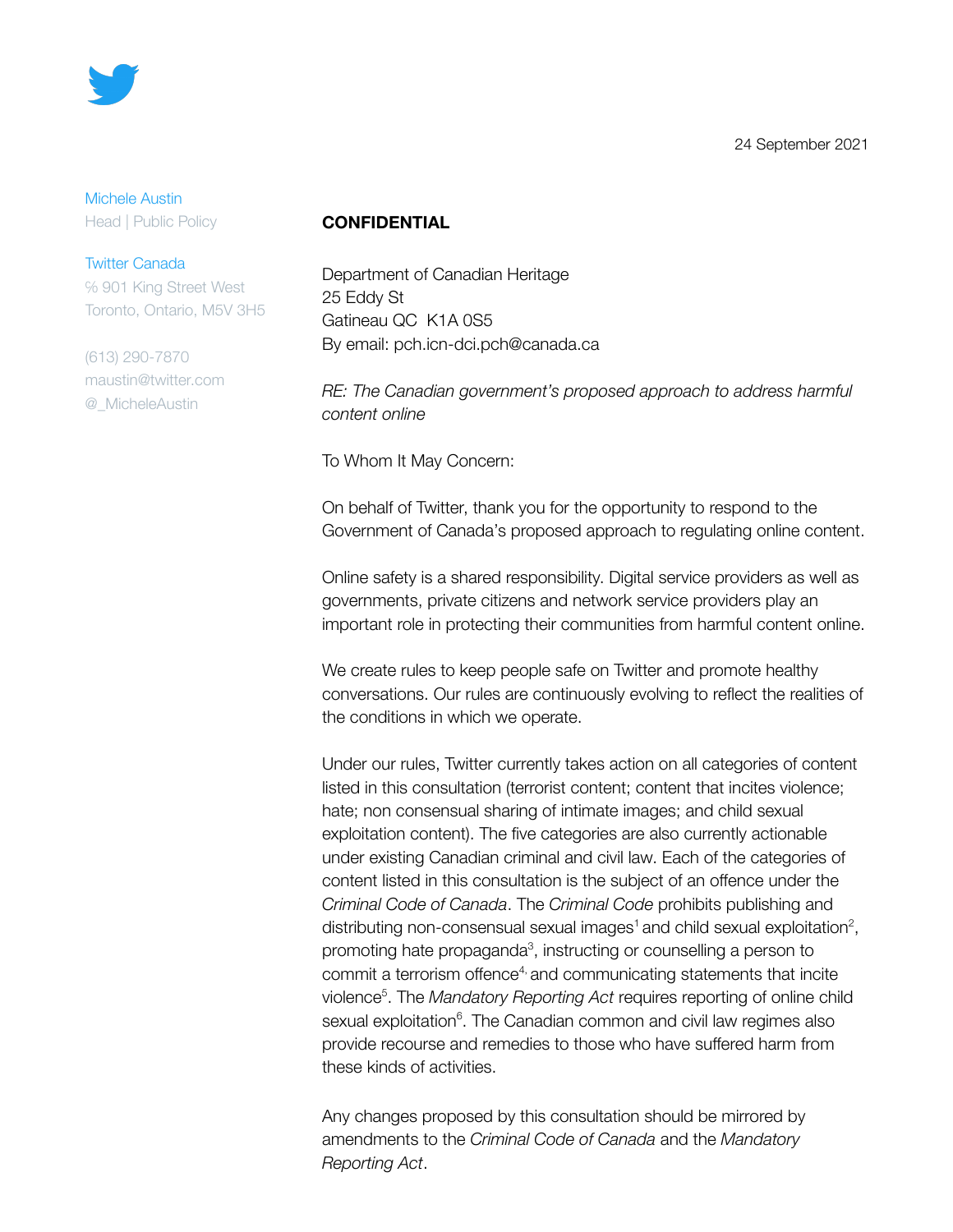

#### Michele Austin

Head | Public Policy

#### Twitter Canada

℅ 901 King Street West Toronto, Ontario, M5V 3H5

(613) 290-7870 maustin@twitter.com @\_MicheleAustin

### **CONFIDENTIAL**

Department of Canadian Heritage 25 Eddy St Gatineau QC K1A 0S5 By email: pch.icn-dci.pch@canada.ca

*RE: The Canadian government's proposed approach to address harmful content online*

To Whom It May Concern:

On behalf of Twitter, thank you for the opportunity to respond to the Government of Canada's proposed approach to regulating online content.

Online safety is a shared responsibility. Digital service providers as well as governments, private citizens and network service providers play an important role in protecting their communities from harmful content online.

We create rules to keep people safe on Twitter and promote healthy conversations. Our rules are continuously evolving to reflect the realities of the conditions in which we operate.

Under our rules, Twitter currently takes action on all categories of content listed in this consultation (terrorist content; content that incites violence; hate; non consensual sharing of intimate images; and child sexual exploitation content). The five categories are also currently actionable under existing Canadian criminal and civil law. Each of the categories of content listed in this consultation is the subject of an offence under the *Criminal Code of Canada*. The *Criminal Code* prohibits publishing and distributing non-consensual sexual images<sup>1</sup> and child sexual exploitation<sup>2</sup>, promoting hate propaganda<sup>3</sup>, instructing or counselling a person to commit a terrorism offence<sup>4,</sup> and communicating statements that incite violence 5 . The *Mandatory Reporting Act* requires reporting of online child sexual exploitation<sup>6</sup>. The Canadian common and civil law regimes also provide recourse and remedies to those who have suffered harm from these kinds of activities.

Any changes proposed by this consultation should be mirrored by amendments to the *Criminal Code of Canada* and the *Mandatory Reporting Act*.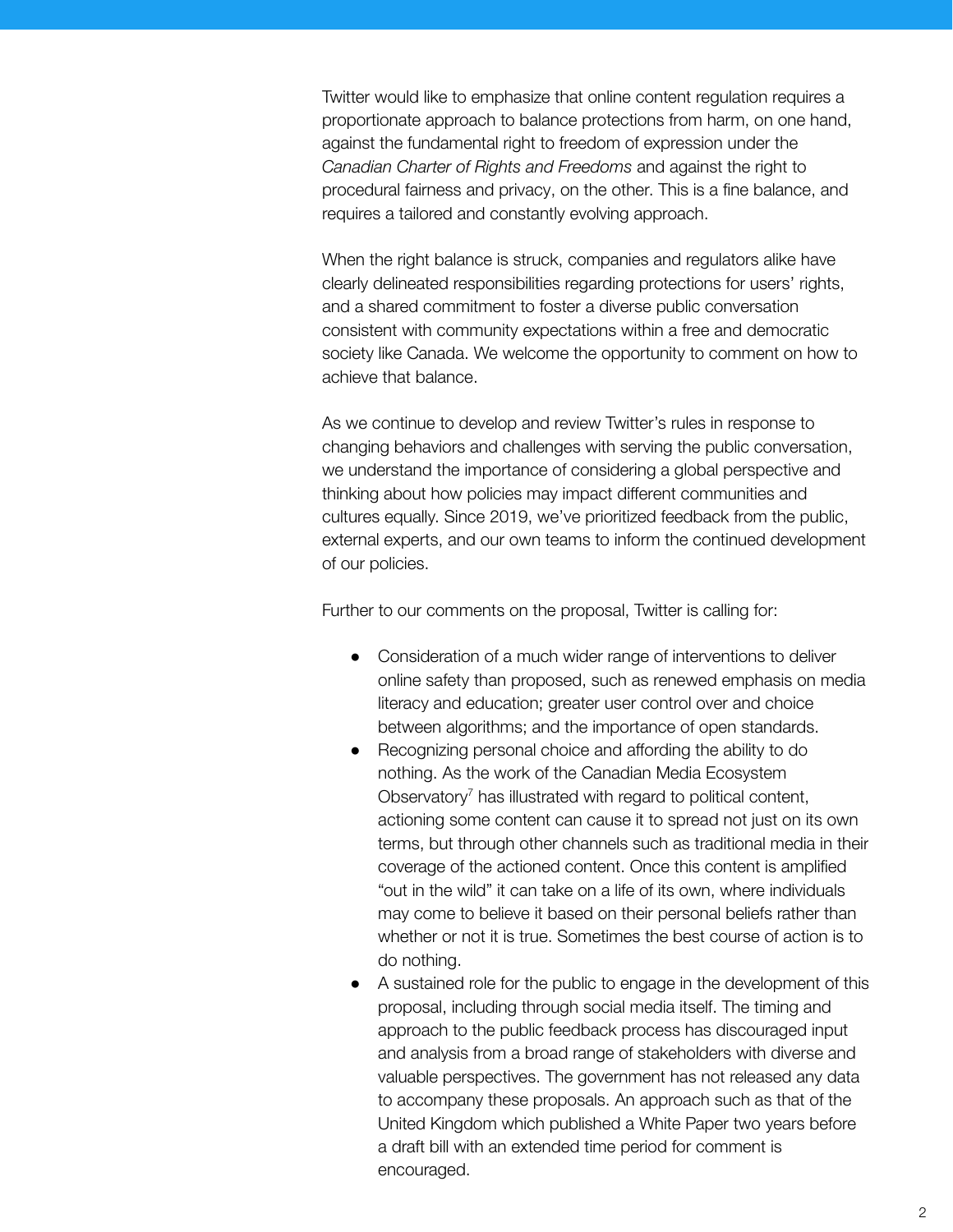Twitter would like to emphasize that online content regulation requires a proportionate approach to balance protections from harm, on one hand, against the fundamental right to freedom of expression under the *Canadian Charter of Rights and Freedoms* and against the right to procedural fairness and privacy, on the other. This is a fine balance, and requires a tailored and constantly evolving approach.

When the right balance is struck, companies and regulators alike have clearly delineated responsibilities regarding protections for users' rights, and a shared commitment to foster a diverse public conversation consistent with community expectations within a free and democratic society like Canada. We welcome the opportunity to comment on how to achieve that balance.

As we continue to develop and review Twitter's rules in response to changing behaviors and challenges with serving the public conversation, we understand the importance of considering a global perspective and thinking about how policies may impact different communities and cultures equally. Since 2019, we've prioritized feedback from the public, external experts, and our own teams to inform the continued development of our policies.

Further to our comments on the proposal, Twitter is calling for:

- Consideration of a much wider range of interventions to deliver online safety than proposed, such as renewed emphasis on media literacy and education; greater user control over and choice between algorithms; and the importance of open standards.
- Recognizing personal choice and affording the ability to do nothing. As the work of the Canadian Media Ecosystem Observatory<sup>7</sup> has illustrated with regard to political content, actioning some content can cause it to spread not just on its own terms, but through other channels such as traditional media in their coverage of the actioned content. Once this content is amplified "out in the wild" it can take on a life of its own, where individuals may come to believe it based on their personal beliefs rather than whether or not it is true. Sometimes the best course of action is to do nothing.
- A sustained role for the public to engage in the development of this proposal, including through social media itself. The timing and approach to the public feedback process has discouraged input and analysis from a broad range of stakeholders with diverse and valuable perspectives. The government has not released any data to accompany these proposals. An approach such as that of the United Kingdom which published a White Paper two years before a draft bill with an extended time period for comment is encouraged.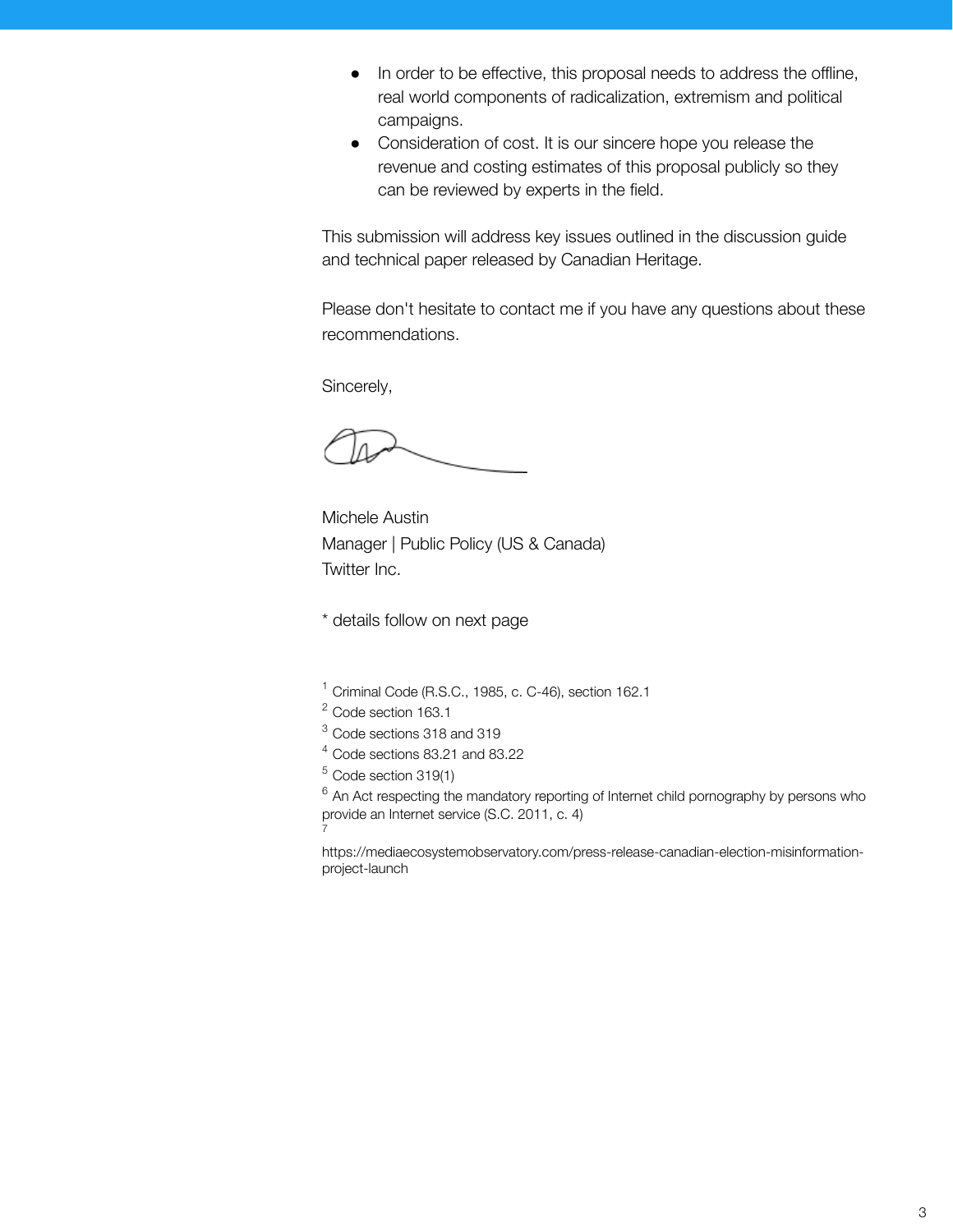- In order to be effective, this proposal needs to address the offline, real world components of radicalization, extremism and political campaigns.
- Consideration of cost. It is our sincere hope you release the revenue and costing estimates of this proposal publicly so they can be reviewed by experts in the field.

This submission will address key issues outlined in the discussion guide and technical paper released by Canadian Heritage.

Please don't hesitate to contact me if you have any questions about these recommendations.

Sincerely,

Michele Austin Manager | Public Policy (US & Canada) Twitter Inc.

\* details follow on next page

- <sup>1</sup> Criminal Code (R.S.C., 1985, c. C-46), section 162.1
- <sup>2</sup> Code section 163.1
- <sup>3</sup> Code sections 318 and 319
- <sup>4</sup> Code sections 83.21 and 83.22
- $5$  Code section 319(1)

 $6$  An Act respecting the mandatory reporting of Internet child pornography by persons who provide an Internet service (S.C. 2011, c. 4) 7

https://mediaecosystemobservatory.com/press-release-canadian-election-misinformationproject-launch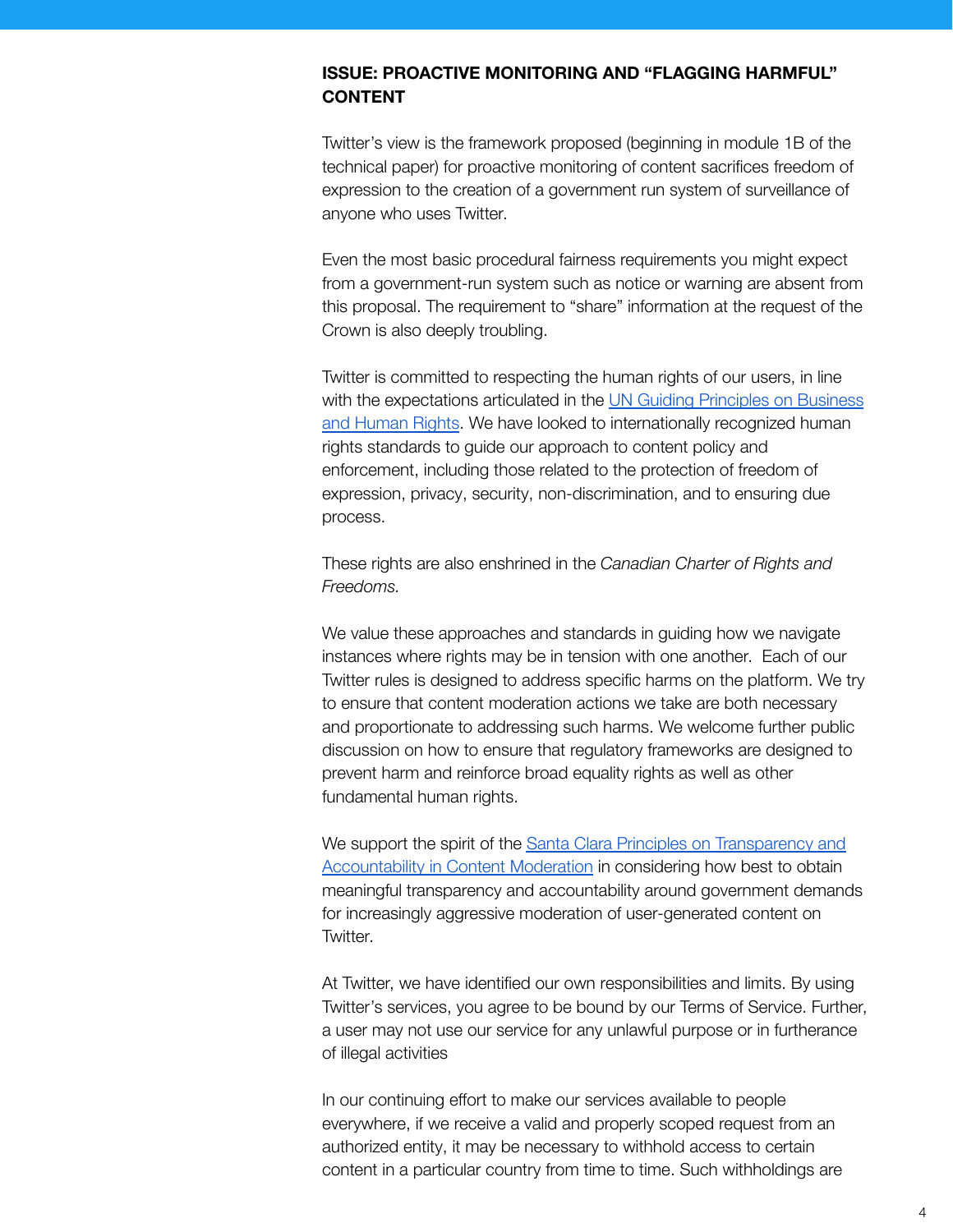## **ISSUE: PROACTIVE MONITORING AND "FLAGGING HARMFUL" CONTENT**

Twitter's view is the framework proposed (beginning in module 1B of the technical paper) for proactive monitoring of content sacrifices freedom of expression to the creation of a government run system of surveillance of anyone who uses Twitter.

Even the most basic procedural fairness requirements you might expect from a government-run system such as notice or warning are absent from this proposal. The requirement to "share" information at the request of the Crown is also deeply troubling.

Twitter is committed to respecting the human rights of our users, in line with the expectations articulated in the UN Guiding [Principles](https://www.ohchr.org/documents/publications/guidingprinciplesbusinesshr_en.pdf) on Business and [Human](https://www.ohchr.org/documents/publications/guidingprinciplesbusinesshr_en.pdf) Rights. We have looked to internationally recognized human rights standards to guide our approach to content policy and enforcement, including those related to the protection of freedom of expression, privacy, security, non-discrimination, and to ensuring due process.

These rights are also enshrined in the *Canadian Charter of Rights and Freedoms.*

We value these approaches and standards in guiding how we navigate instances where rights may be in tension with one another. Each of our Twitter rules is designed to address specific harms on the platform. We try to ensure that content moderation actions we take are both necessary and proportionate to addressing such harms. We welcome further public discussion on how to ensure that regulatory frameworks are designed to prevent harm and reinforce broad equality rights as well as other fundamental human rights.

We support the spirit of the Santa Clara Principles on [Transparency](https://santaclaraprinciples.org/) and [Accountability](https://santaclaraprinciples.org/) in Content Moderation in considering how best to obtain meaningful transparency and accountability around government demands for increasingly aggressive moderation of user-generated content on Twitter.

At Twitter, we have identified our own responsibilities and limits. By using Twitter's services, you agree to be bound by our Terms of Service. Further, a user may not use our service for any unlawful purpose or in furtherance of illegal activities

In our continuing effort to make our services available to people everywhere, if we receive a valid and properly scoped request from an authorized entity, it may be necessary to withhold access to certain content in a particular country from time to time. Such withholdings are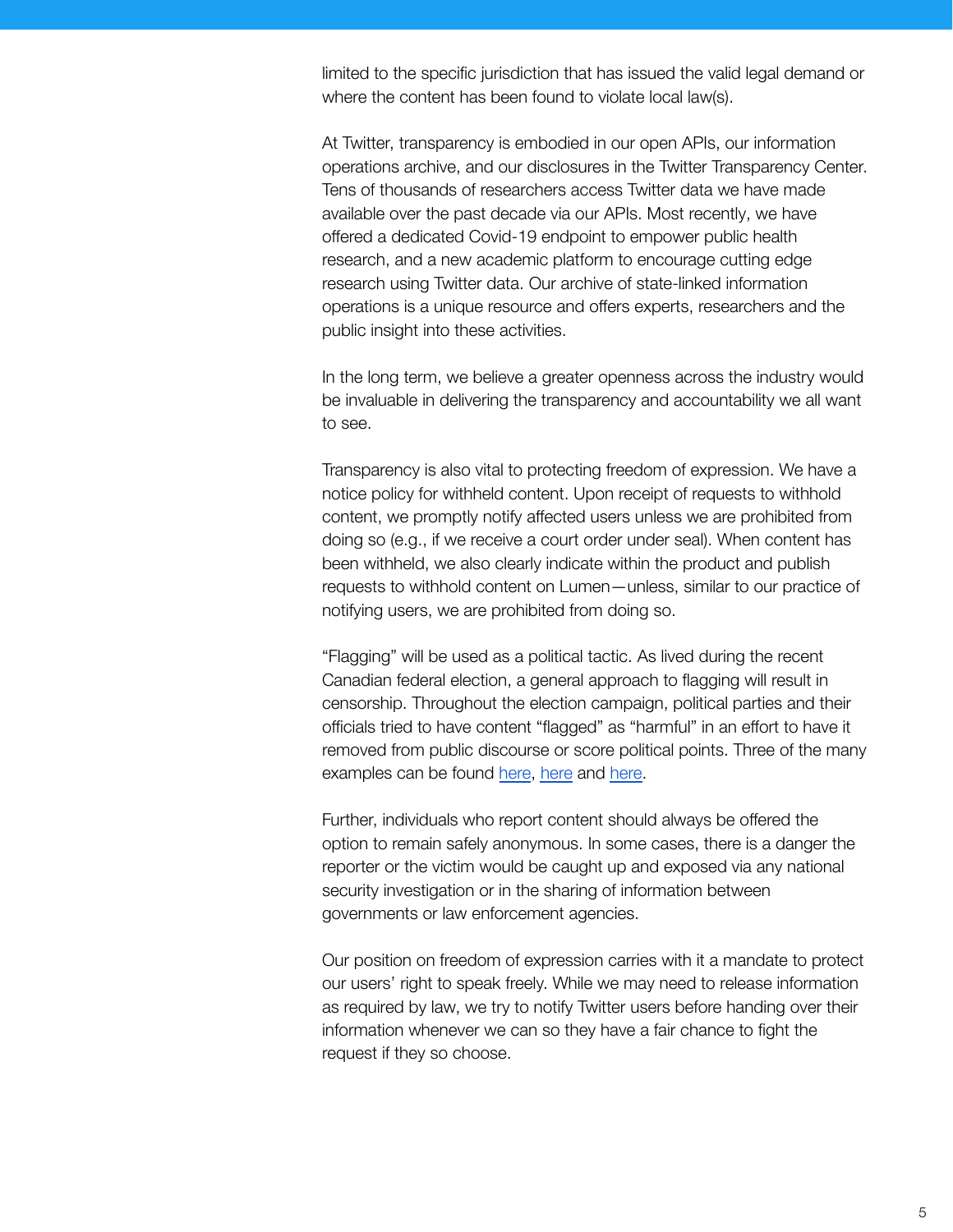limited to the specific jurisdiction that has issued the valid legal demand or where the content has been found to violate local law(s).

At Twitter, transparency is embodied in our open APIs, our information operations archive, and our disclosures in the Twitter Transparency Center. Tens of thousands of researchers access Twitter data we have made available over the past decade via our APIs. Most recently, we have offered a dedicated Covid-19 endpoint to empower public health research, and a new academic platform to encourage cutting edge research using Twitter data. Our archive of state-linked information operations is a unique resource and offers experts, researchers and the public insight into these activities.

In the long term, we believe a greater openness across the industry would be invaluable in delivering the transparency and accountability we all want to see.

Transparency is also vital to protecting freedom of expression. We have a notice policy for withheld content. Upon receipt of requests to withhold content, we promptly notify affected users unless we are prohibited from doing so (e.g., if we receive a court order under seal). When content has been withheld, we also clearly indicate within the product and publish requests to withhold content on Lumen—unless, similar to our practice of notifying users, we are prohibited from doing so.

"Flagging" will be used as a political tactic. As lived during the recent Canadian federal election, a general approach to flagging will result in censorship. Throughout the election campaign, political parties and their officials tried to have content "flagged" as "harmful" in an effort to have it removed from public discourse or score political points. Three of the many examples can be found [here](https://twitter.com/LPCPressBox/status/1435984150041874432?s=20), [here](https://twitter.com/brianlilley/status/1429621508700315652?s=20) and [here.](https://twitter.com/YaaraSaks/status/1437792319621718019?s=20)

Further, individuals who report content should always be offered the option to remain safely anonymous. In some cases, there is a danger the reporter or the victim would be caught up and exposed via any national security investigation or in the sharing of information between governments or law enforcement agencies.

Our position on freedom of expression carries with it a mandate to protect our users' right to speak freely. While we may need to release information as required by law, we try to notify Twitter users before handing over their information whenever we can so they have a fair chance to fight the request if they so choose.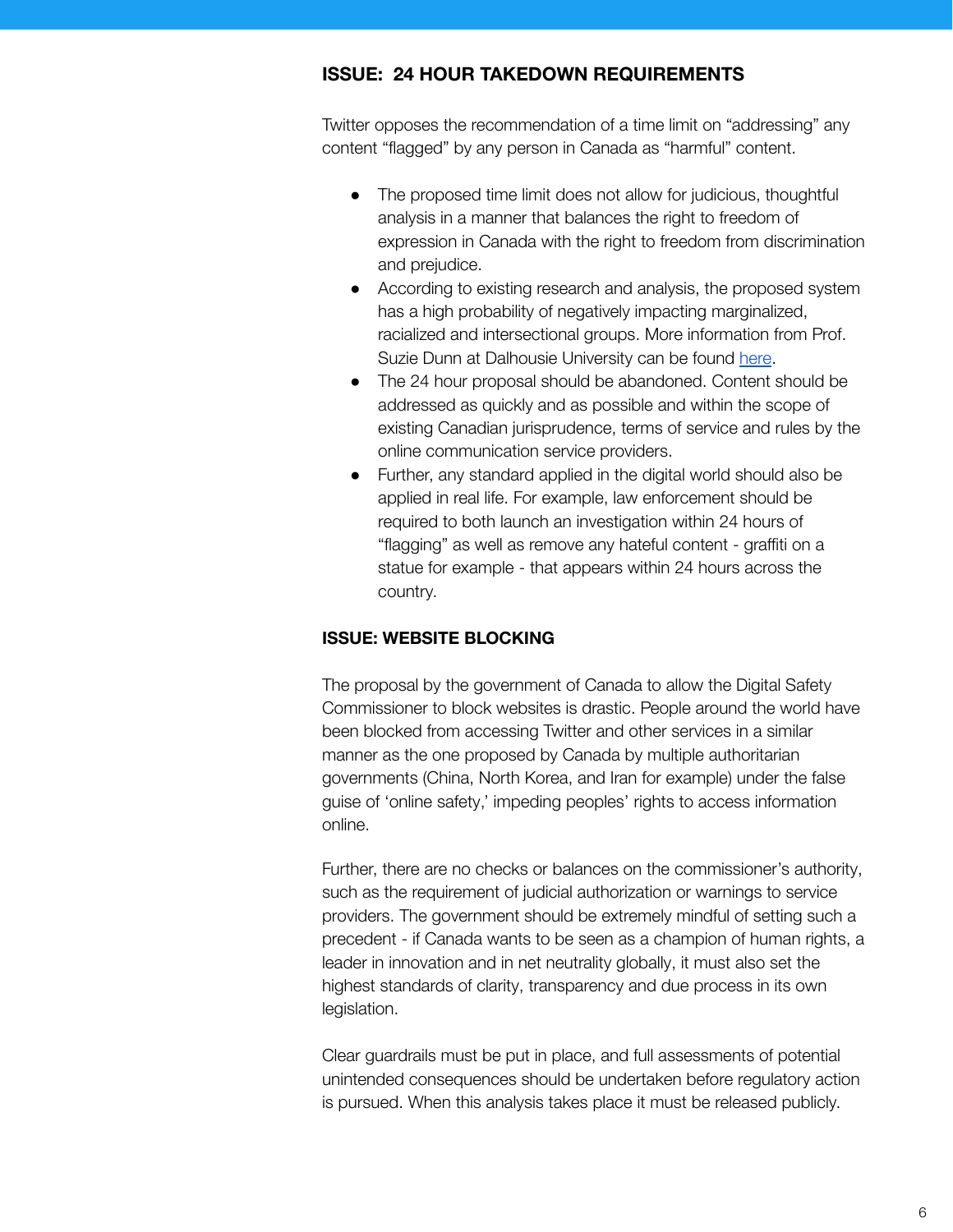# **ISSUE: 24 HOUR TAKEDOWN REQUIREMENTS**

Twitter opposes the recommendation of a time limit on "addressing" any content "flagged" by any person in Canada as "harmful" content.

- The proposed time limit does not allow for judicious, thoughtful analysis in a manner that balances the right to freedom of expression in Canada with the right to freedom from discrimination and prejudice.
- According to existing research and analysis, the proposed system has a high probability of negatively impacting marginalized, racialized and intersectional groups. More information from Prof. Suzie Dunn at Dalhousie University can be found [here.](https://twitter.com/SuzieMDunn/status/1429852519103188993?s=20)
- The 24 hour proposal should be abandoned. Content should be addressed as quickly and as possible and within the scope of existing Canadian jurisprudence, terms of service and rules by the online communication service providers.
- Further, any standard applied in the digital world should also be applied in real life. For example, law enforcement should be required to both launch an investigation within 24 hours of "flagging" as well as remove any hateful content - graffiti on a statue for example - that appears within 24 hours across the country.

# **ISSUE: WEBSITE BLOCKING**

The proposal by the government of Canada to allow the Digital Safety Commissioner to block websites is drastic. People around the world have been blocked from accessing Twitter and other services in a similar manner as the one proposed by Canada by multiple authoritarian governments (China, North Korea, and Iran for example) under the false guise of 'online safety,' impeding peoples' rights to access information online.

Further, there are no checks or balances on the commissioner's authority, such as the requirement of judicial authorization or warnings to service providers. The government should be extremely mindful of setting such a precedent - if Canada wants to be seen as a champion of human rights, a leader in innovation and in net neutrality globally, it must also set the highest standards of clarity, transparency and due process in its own legislation.

Clear guardrails must be put in place, and full assessments of potential unintended consequences should be undertaken before regulatory action is pursued. When this analysis takes place it must be released publicly.